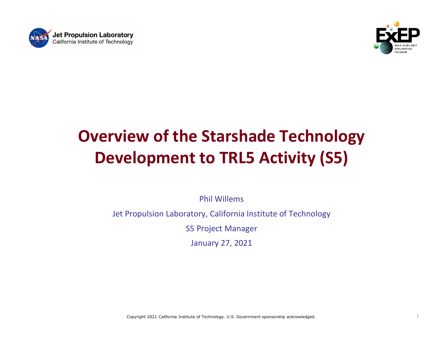



## Overview of the Starshade Technology Development to TRL5 Activity (S5)

Phil Willems

Jet Propulsion Laboratory, California Institute of Technology

S5 Project Manager

January 27, 2021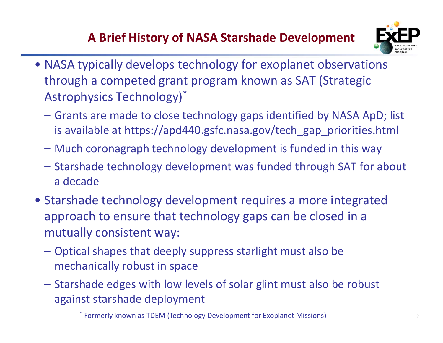

- A Brief History of NASA Starshade Development<br>pically develops technology for exoplanet observations **A Brief History of NASA Starshade Development**<br>• NASA typically develops technology for exoplanet observations<br>through a competed grant program known as SAT (Strategic<br>Astrophysics Technology)\* through a competed grant program known as SAT (Strategic Astrophysics Technology)\* A Brief History of NASA Starshade Development<br>
MASA typically develops technology for exoplanet observations<br>
through a competed grant program known as SAT (Strategic<br>
Astrophysics Technology)\*<br>
– Grants are made to close A Brief History of NASA Starshade Development<br>
MASA typically develops technology for exoplanet observations<br>
through a competed grant program known as SAT (Strategic<br>
Astrophysics Technology)<sup>\*</sup><br>
– Grants are made to clos A Brief History of NASA Starshade Development<br>
NASA typically develops technology for exoplanet observations<br>
through a competed grant program known as SAT (Strategic<br>
Astrophysics Technology)\*<br>
– Grants are made to close
	- is available at https://apd440.gsfc.nasa.gov/tech\_gap\_priorities.html
	-
	- a decade
- NASA typically develops technology for exoplanet observations<br>through a competed grant program known as SAT (Strategic<br>Astrophysics Technology)\*<br> $-$  Grants are made to close technology gaps identified by NASA ApD; list<br> approach to ensure that technology gaps can be closed in a mutually consistent way: – Grants are made to close technology gaps identified by NASA ApD<sub>,</sub><br>is available at https://apd440.gsfc.nasa.gov/tech\_gap\_priorities.ht<br>– Much coronagraph technology development is funded in this way<br>– Starshade technolog – Much coronagraph technology development is funded in this way<br>
– Starshade technology development was funded through SAT for about<br>
a decade<br>
Starshade technology development requires a more integrated<br>
approach to ensur Starshade technology development was funded throug<br>a decade<br>arshade technology development requires a more<br>oproach to ensure that technology gaps can be clos<br>utually consistent way:<br>Optical shapes that deeply suppress star
	- mechanically robust in space
	-

<sup>2</sup> \* Formerly known as TDEM (Technology Development for Exoplanet Missions)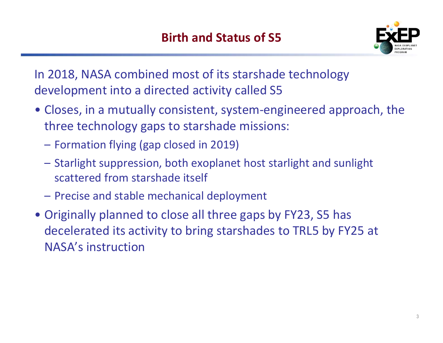

Birth and Status of S5<br>
In 2018, NASA combined most of its starshade technology<br>
development into a directed activity called S5<br>
• Closes, in a mutually consistent, system-engineered approach, the development into a directed activity called S5

- **Birth and Status of S5**<br>  **Closes, in a mutually consistent, system-engineered approach, the**<br>
three technology gaps to starshade missions:<br>
 Formation flying (gap closed in 2019) **Birth and Status of S5**<br>**EXEP**<br>2018, NASA combined most of its starshade technology<br>evelopment into a directed activity called S5<br>Closes, in a mutually consistent, system-engineered approach, the<br>three technology gaps to **Birth and Status of S5**<br>2018, NASA combined most of its starshade the<br>evelopment into a directed activity called S5<br>Closes, in a mutually consistent, system-engin<br>three technology gaps to starshade missions:<br>- Formation f **EXEM**<br>
2018, NASA combined most of its starshade technology<br>
evelopment into a directed activity called S5<br>
Closes, in a mutually consistent, system-engineered approach, the<br>
three technology gaps to starshade missions:<br> scattered from starshade itself
	-
	-
	-
- 2018, NASA combined most of its starshade tech<br>evelopment into a directed activity called S5<br>Closes, in a mutually consistent, system-enginee<br>three technology gaps to starshade missions:<br>- Formation flying (gap closed in 2 Fraction and a directed activity called S5<br>• Closes, in a mutually consistent, system-engineered approach, there technology gaps to starshade missions:<br>– Formation flying (gap closed in 2019)<br>– Starlight suppression, both Deceleration and an economy cance of the consequence of closes, in a mutually consistent, system-engineered approach, the three technology gaps to starshade missions:<br>
- Formation flying (gap closed in 2019)<br>
- Starlight s NASA's instruction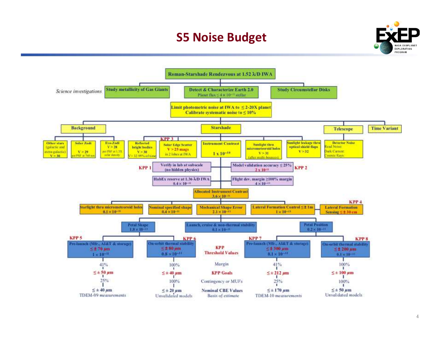## S5 Noise Budget



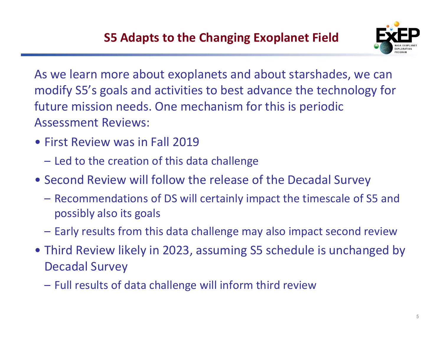

As we learn more about exoplanets and about starshades, we can modify S5's goals and activities to best advance the technology for future mission needs. One mechanism for this is periodic Assessment Reviews: **S5 Adapts to the Changing Exoplem**<br>
As we learn more about exoplanets and about<br>
modify S5's goals and activities to best advance<br>
future mission needs. One mechanism for this<br>
Assessment Reviews:<br>
• First Review was in F SUPER SET A SUPER SERVING THE SERVIE THE SERVIE THE SAMPLET OF RECIDENT OF SAMPLET OF STATIST OF THE SPECIES SERVIER THE CREATIST OF THE SPECIES SERVIER THE REVIEWS:<br>
First Review was in Fall 2019<br>
- Led to the creation of Follow the the end about starshades, we can<br>
modify S5's goals and activities to best advance the technology for<br>
future mission needs. One mechanism for this is periodic<br>
Assessment Reviews:<br>
• First Review was in Fall 20 is we learn more about exoplanets and about starshades, we can<br>odify S5's goals and activities to best advance the technology for<br>ture mission needs. One mechanism for this is periodic<br>ssessment Reviews:<br>First Review was i between muslem and decreases to be the decreasing from the commonly some transition needs. One mechanism for this is periodic seessment Reviews:<br>First Review was in Fall 2019<br>– Led to the creation of this data challenge<br>Se

- -
- - possibly also its goals
	-
- First Review was in Fall 2019<br>• Led to the creation of this data challenge<br>• Second Review will follow the release of the Decadal Survey<br>• Recommendations of DS will certainly impact the timescale of S5 and<br>possibly also Decadal Survey – Led to the creation of this data challenge<br>
– Led to the creation of this data challenge<br>
– Recommendations of DS will certainly impact the timescale of S5 and<br>
possibly also its goals<br>
– Early results from this data cha
	-